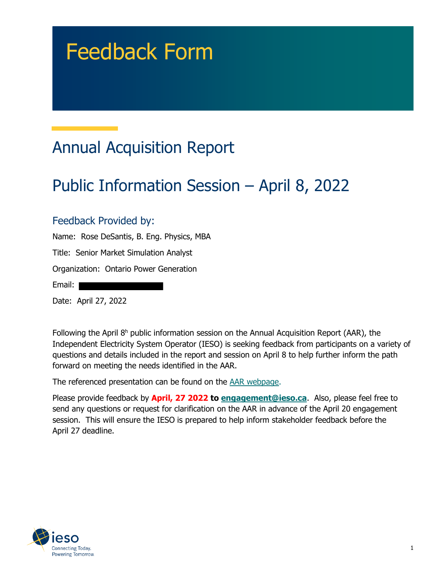# Feedback Form

# Annual Acquisition Report

## Public Information Session – April 8, 2022

#### Feedback Provided by:

Name: Rose DeSantis, B. Eng. Physics, MBA Title: Senior Market Simulation Analyst Organization: Ontario Power Generation Email:

Date: April 27, 2022

Following the April  $8<sup>h</sup>$  public information session on the Annual Acquisition Report (AAR), the Independent Electricity System Operator (IESO) is seeking feedback from participants on a variety of questions and details included in the report and session on April 8 to help further inform the path forward on meeting the needs identified in the AAR.

The referenced presentation can be found on the [AAR webpage.](https://www.ieso.ca/en/Sector-Participants/Planning-and-Forecasting/Annual-Acquisition-Report)

Please provide feedback by **April, 27 2022 to [engagement@ieso.ca](mailto:engagement@ieso.ca)**. Also, please feel free to send any questions or request for clarification on the AAR in advance of the April 20 engagement session. This will ensure the IESO is prepared to help inform stakeholder feedback before the April 27 deadline.

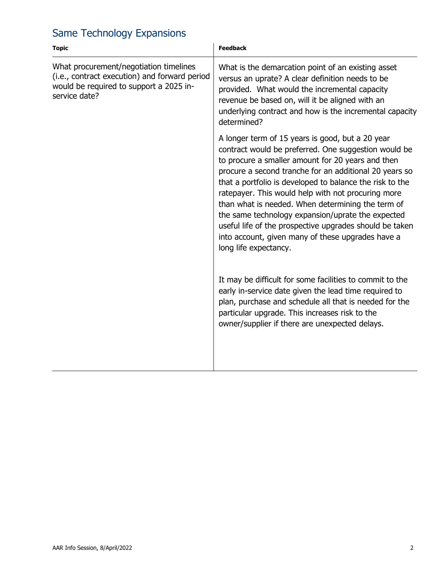### Same Technology Expansions

| <b>Topic</b>                                                                                                                                        | <b>Feedback</b>                                                                                                                                                                                                                                                                                                                                                                                                                                                                                                                                                                              |  |
|-----------------------------------------------------------------------------------------------------------------------------------------------------|----------------------------------------------------------------------------------------------------------------------------------------------------------------------------------------------------------------------------------------------------------------------------------------------------------------------------------------------------------------------------------------------------------------------------------------------------------------------------------------------------------------------------------------------------------------------------------------------|--|
| What procurement/negotiation timelines<br>(i.e., contract execution) and forward period<br>would be required to support a 2025 in-<br>service date? | What is the demarcation point of an existing asset<br>versus an uprate? A clear definition needs to be<br>provided. What would the incremental capacity<br>revenue be based on, will it be aligned with an<br>underlying contract and how is the incremental capacity<br>determined?                                                                                                                                                                                                                                                                                                         |  |
|                                                                                                                                                     | A longer term of 15 years is good, but a 20 year<br>contract would be preferred. One suggestion would be<br>to procure a smaller amount for 20 years and then<br>procure a second tranche for an additional 20 years so<br>that a portfolio is developed to balance the risk to the<br>ratepayer. This would help with not procuring more<br>than what is needed. When determining the term of<br>the same technology expansion/uprate the expected<br>useful life of the prospective upgrades should be taken<br>into account, given many of these upgrades have a<br>long life expectancy. |  |
|                                                                                                                                                     | It may be difficult for some facilities to commit to the<br>early in-service date given the lead time required to<br>plan, purchase and schedule all that is needed for the<br>particular upgrade. This increases risk to the<br>owner/supplier if there are unexpected delays.                                                                                                                                                                                                                                                                                                              |  |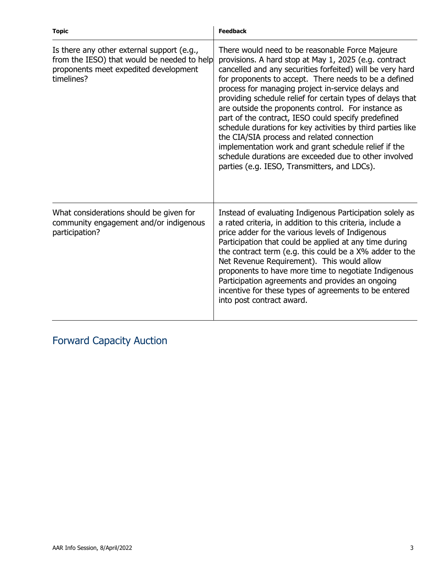| <b>Topic</b>                                                                                                                                     | <b>Feedback</b>                                                                                                                                                                                                                                                                                                                                                                                                                                                                                                                                                                                                                                                                                                                                |
|--------------------------------------------------------------------------------------------------------------------------------------------------|------------------------------------------------------------------------------------------------------------------------------------------------------------------------------------------------------------------------------------------------------------------------------------------------------------------------------------------------------------------------------------------------------------------------------------------------------------------------------------------------------------------------------------------------------------------------------------------------------------------------------------------------------------------------------------------------------------------------------------------------|
| Is there any other external support (e.g.,<br>from the IESO) that would be needed to help<br>proponents meet expedited development<br>timelines? | There would need to be reasonable Force Majeure<br>provisions. A hard stop at May 1, 2025 (e.g. contract<br>cancelled and any securities forfeited) will be very hard<br>for proponents to accept. There needs to be a defined<br>process for managing project in-service delays and<br>providing schedule relief for certain types of delays that<br>are outside the proponents control. For instance as<br>part of the contract, IESO could specify predefined<br>schedule durations for key activities by third parties like<br>the CIA/SIA process and related connection<br>implementation work and grant schedule relief if the<br>schedule durations are exceeded due to other involved<br>parties (e.g. IESO, Transmitters, and LDCs). |
| What considerations should be given for<br>community engagement and/or indigenous<br>participation?                                              | Instead of evaluating Indigenous Participation solely as<br>a rated criteria, in addition to this criteria, include a<br>price adder for the various levels of Indigenous<br>Participation that could be applied at any time during<br>the contract term (e.g. this could be a X% adder to the<br>Net Revenue Requirement). This would allow<br>proponents to have more time to negotiate Indigenous<br>Participation agreements and provides an ongoing<br>incentive for these types of agreements to be entered<br>into post contract award.                                                                                                                                                                                                 |

Forward Capacity Auction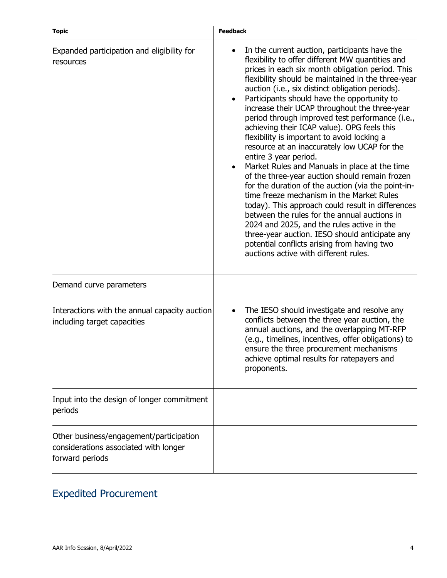| <b>Topic</b>                                                                                        | <b>Feedback</b>                                                                                                                                                                                                                                                                                                                                                                                                                                                                                                                                                                                                                                                                                                                                                                                                                                                                                                                                                                                                                                                                                           |
|-----------------------------------------------------------------------------------------------------|-----------------------------------------------------------------------------------------------------------------------------------------------------------------------------------------------------------------------------------------------------------------------------------------------------------------------------------------------------------------------------------------------------------------------------------------------------------------------------------------------------------------------------------------------------------------------------------------------------------------------------------------------------------------------------------------------------------------------------------------------------------------------------------------------------------------------------------------------------------------------------------------------------------------------------------------------------------------------------------------------------------------------------------------------------------------------------------------------------------|
| Expanded participation and eligibility for<br>resources                                             | In the current auction, participants have the<br>flexibility to offer different MW quantities and<br>prices in each six month obligation period. This<br>flexibility should be maintained in the three-year<br>auction (i.e., six distinct obligation periods).<br>Participants should have the opportunity to<br>$\bullet$<br>increase their UCAP throughout the three-year<br>period through improved test performance (i.e.,<br>achieving their ICAP value). OPG feels this<br>flexibility is important to avoid locking a<br>resource at an inaccurately low UCAP for the<br>entire 3 year period.<br>Market Rules and Manuals in place at the time<br>of the three-year auction should remain frozen<br>for the duration of the auction (via the point-in-<br>time freeze mechanism in the Market Rules<br>today). This approach could result in differences<br>between the rules for the annual auctions in<br>2024 and 2025, and the rules active in the<br>three-year auction. IESO should anticipate any<br>potential conflicts arising from having two<br>auctions active with different rules. |
| Demand curve parameters                                                                             |                                                                                                                                                                                                                                                                                                                                                                                                                                                                                                                                                                                                                                                                                                                                                                                                                                                                                                                                                                                                                                                                                                           |
| Interactions with the annual capacity auction<br>including target capacities                        | The IESO should investigate and resolve any<br>conflicts between the three year auction, the<br>annual auctions, and the overlapping MT-RFP<br>(e.g., timelines, incentives, offer obligations) to<br>ensure the three procurement mechanisms<br>achieve optimal results for ratepayers and<br>proponents.                                                                                                                                                                                                                                                                                                                                                                                                                                                                                                                                                                                                                                                                                                                                                                                                |
| Input into the design of longer commitment<br>periods                                               |                                                                                                                                                                                                                                                                                                                                                                                                                                                                                                                                                                                                                                                                                                                                                                                                                                                                                                                                                                                                                                                                                                           |
| Other business/engagement/participation<br>considerations associated with longer<br>forward periods |                                                                                                                                                                                                                                                                                                                                                                                                                                                                                                                                                                                                                                                                                                                                                                                                                                                                                                                                                                                                                                                                                                           |

### Expedited Procurement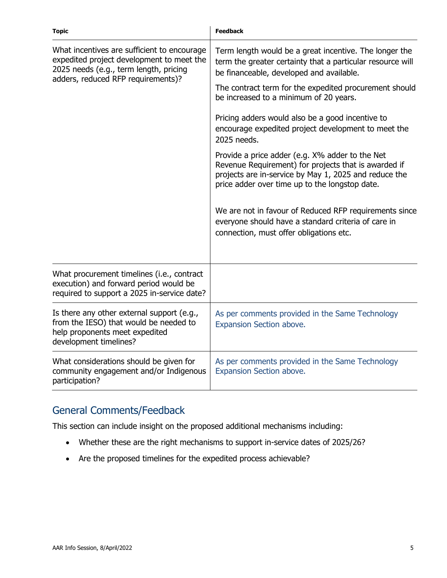| <b>Topic</b>                                                                                                                                                             | <b>Feedback</b>                                                                                                                                                                                                    |  |
|--------------------------------------------------------------------------------------------------------------------------------------------------------------------------|--------------------------------------------------------------------------------------------------------------------------------------------------------------------------------------------------------------------|--|
| What incentives are sufficient to encourage<br>expedited project development to meet the<br>2025 needs (e.g., term length, pricing<br>adders, reduced RFP requirements)? | Term length would be a great incentive. The longer the<br>term the greater certainty that a particular resource will<br>be financeable, developed and available.                                                   |  |
|                                                                                                                                                                          | The contract term for the expedited procurement should<br>be increased to a minimum of 20 years.                                                                                                                   |  |
|                                                                                                                                                                          | Pricing adders would also be a good incentive to<br>encourage expedited project development to meet the<br>2025 needs.                                                                                             |  |
|                                                                                                                                                                          | Provide a price adder (e.g. X% adder to the Net<br>Revenue Requirement) for projects that is awarded if<br>projects are in-service by May 1, 2025 and reduce the<br>price adder over time up to the longstop date. |  |
|                                                                                                                                                                          | We are not in favour of Reduced RFP requirements since<br>everyone should have a standard criteria of care in<br>connection, must offer obligations etc.                                                           |  |
| What procurement timelines (i.e., contract<br>execution) and forward period would be<br>required to support a 2025 in-service date?                                      |                                                                                                                                                                                                                    |  |
| Is there any other external support (e.g.,<br>from the IESO) that would be needed to<br>help proponents meet expedited<br>development timelines?                         | As per comments provided in the Same Technology<br>Expansion Section above.                                                                                                                                        |  |
| What considerations should be given for<br>community engagement and/or Indigenous<br>participation?                                                                      | As per comments provided in the Same Technology<br>Expansion Section above.                                                                                                                                        |  |

#### General Comments/Feedback

This section can include insight on the proposed additional mechanisms including:

- Whether these are the right mechanisms to support in-service dates of 2025/26?
- Are the proposed timelines for the expedited process achievable?